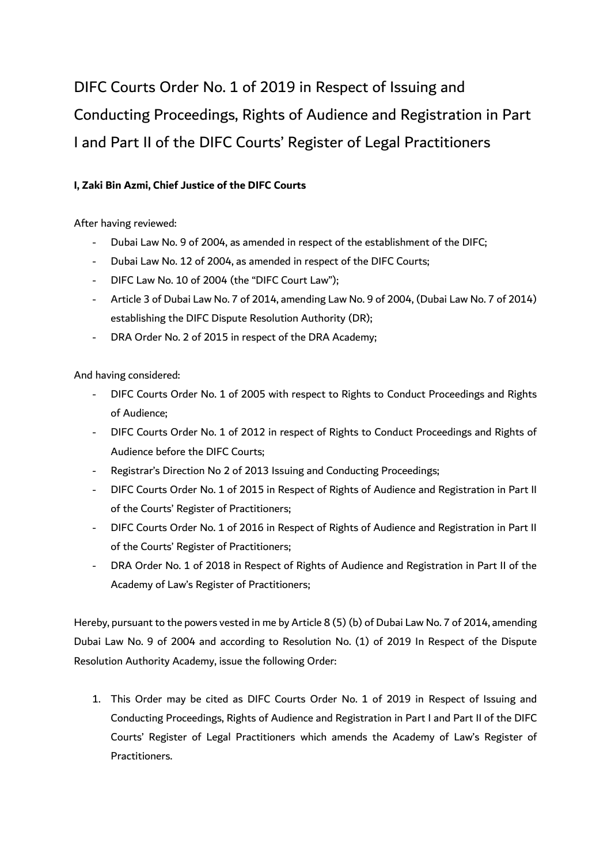DIFC Courts Order No. 1 of 2019 in Respect of Issuing and Conducting Proceedings, Rights of Audience and Registration in Part I and Part II of the DIFC Courts' Register of Legal Practitioners

## **I, Zaki Bin Azmi, Chief Justice of the DIFC Courts**

After having reviewed:

- Dubai Law No. 9 of 2004, as amended in respect of the establishment of the DIFC;
- Dubai Law No. 12 of 2004, as amended in respect of the DIFC Courts;
- DIFC Law No. 10 of 2004 (the "DIFC Court Law");
- Article 3 of Dubai Law No. 7 of 2014, amending Law No. 9 of 2004, (Dubai Law No. 7 of 2014) establishing the DIFC Dispute Resolution Authority (DR);
- DRA Order No. 2 of 2015 in respect of the DRA Academy;

And having considered:

- DIFC Courts Order No. 1 of 2005 with respect to Rights to Conduct Proceedings and Rights of Audience;
- DIFC Courts Order No. 1 of 2012 in respect of Rights to Conduct Proceedings and Rights of Audience before the DIFC Courts;
- Registrar's Direction No 2 of 2013 Issuing and Conducting Proceedings;
- DIFC Courts Order No. 1 of 2015 in Respect of Rights of Audience and Registration in Part II of the Courts' Register of Practitioners;
- DIFC Courts Order No. 1 of 2016 in Respect of Rights of Audience and Registration in Part II of the Courts' Register of Practitioners;
- DRA Order No. 1 of 2018 in Respect of Rights of Audience and Registration in Part II of the Academy of Law's Register of Practitioners;

Hereby, pursuant to the powers vested in me by Article 8 (5) (b) of Dubai Law No. 7 of 2014, amending Dubai Law No. 9 of 2004 and according to Resolution No. (1) of 2019 In Respect of the Dispute Resolution Authority Academy, issue the following Order:

1. This Order may be cited as DIFC Courts Order No. 1 of 2019 in Respect of Issuing and Conducting Proceedings, Rights of Audience and Registration in Part I and Part II of the DIFC Courts' Register of Legal Practitioners which amends the Academy of Law's Register of Practitioners.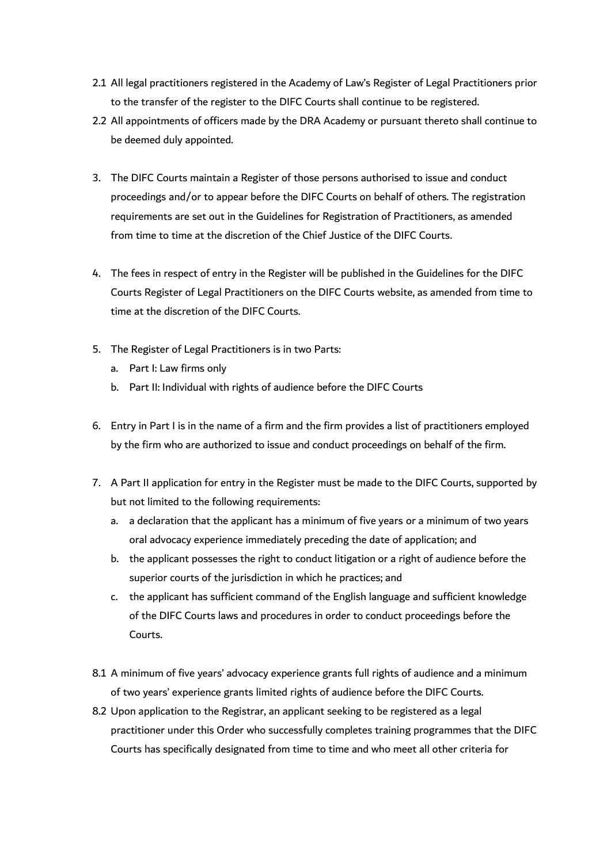- 2.1 All legal practitioners registered in the Academy of Law's Register of Legal Practitioners prior to the transfer of the register to the DIFC Courts shall continue to be registered.
- 2.2 All appointments of officers made by the DRA Academy or pursuant thereto shall continue to be deemed duly appointed.
- 3. The DIFC Courts maintain a Register of those persons authorised to issue and conduct proceedings and/or to appear before the DIFC Courts on behalf of others. The registration requirements are set out in the Guidelines for Registration of Practitioners, as amended from time to time at the discretion of the Chief Justice of the DIFC Courts.
- 4. The fees in respect of entry in the Register will be published in the Guidelines for the DIFC Courts Register of Legal Practitioners on the DIFC Courts website, as amended from time to time at the discretion of the DIFC Courts.
- 5. The Register of Legal Practitioners is in two Parts:
	- a. Part I: Law firms only
	- b. Part II: Individual with rights of audience before the DIFC Courts
- 6. Entry in Part I is in the name of a firm and the firm provides a list of practitioners employed by the firm who are authorized to issue and conduct proceedings on behalf of the firm.
- 7. A Part II application for entry in the Register must be made to the DIFC Courts, supported by but not limited to the following requirements:
	- a. a declaration that the applicant has a minimum of five years or a minimum of two years oral advocacy experience immediately preceding the date of application; and
	- b. the applicant possesses the right to conduct litigation or a right of audience before the superior courts of the jurisdiction in which he practices; and
	- c. the applicant has sufficient command of the English language and sufficient knowledge of the DIFC Courts laws and procedures in order to conduct proceedings before the Courts.
- 8.1 A minimum of five years' advocacy experience grants full rights of audience and a minimum of two years' experience grants limited rights of audience before the DIFC Courts.
- 8.2 Upon application to the Registrar, an applicant seeking to be registered as a legal practitioner under this Order who successfully completes training programmes that the DIFC Courts has specifically designated from time to time and who meet all other criteria for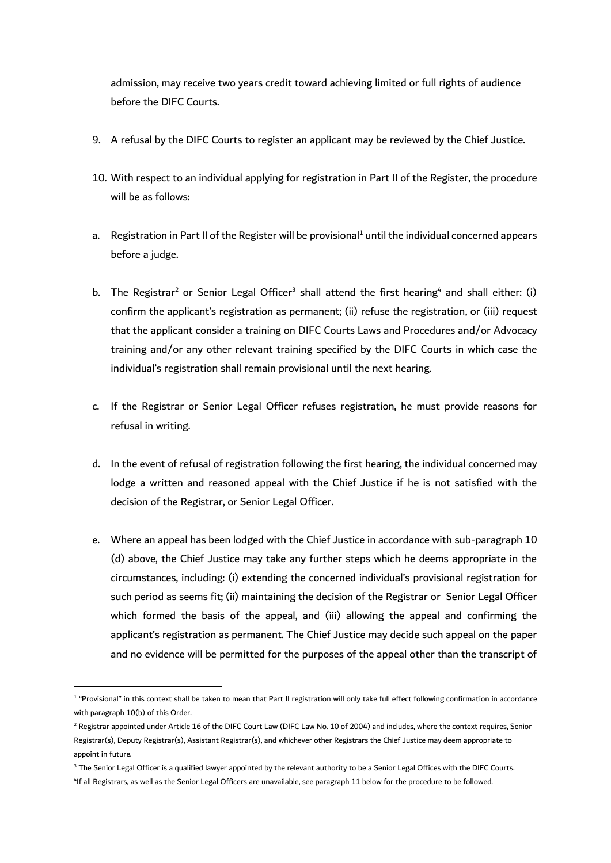admission, may receive two years credit toward achieving limited or full rights of audience before the DIFC Courts.

- 9. A refusal by the DIFC Courts to register an applicant may be reviewed by the Chief Justice.
- 10. With respect to an individual applying for registration in Part II of the Register, the procedure will be as follows:
- a. Registration in Part II of the Register will be provisional<sup>1</sup> until the individual concerned appears before a judge.
- b. The Registrar<sup>2</sup> or Senior Legal Officer<sup>3</sup> shall attend the first hearing<sup>4</sup> and shall either: (i) confirm the applicant's registration as permanent; (ii) refuse the registration, or (iii) request that the applicant consider a training on DIFC Courts Laws and Procedures and/or Advocacy training and/or any other relevant training specified by the DIFC Courts in which case the individual's registration shall remain provisional until the next hearing.
- c. If the Registrar or Senior Legal Officer refuses registration, he must provide reasons for refusal in writing.
- d. In the event of refusal of registration following the first hearing, the individual concerned may lodge a written and reasoned appeal with the Chief Justice if he is not satisfied with the decision of the Registrar, or Senior Legal Officer.
- e. Where an appeal has been lodged with the Chief Justice in accordance with sub-paragraph 10 (d) above, the Chief Justice may take any further steps which he deems appropriate in the circumstances, including: (i) extending the concerned individual's provisional registration for such period as seems fit; (ii) maintaining the decision of the Registrar or Senior Legal Officer which formed the basis of the appeal, and (iii) allowing the appeal and confirming the applicant's registration as permanent. The Chief Justice may decide such appeal on the paper and no evidence will be permitted for the purposes of the appeal other than the transcript of

<sup>&</sup>lt;sup>1</sup> "Provisional" in this context shall be taken to mean that Part II registration will only take full effect following confirmation in accordance with paragraph 10(b) of this Order.

<sup>&</sup>lt;sup>2</sup> Registrar appointed under Article 16 of the DIFC Court Law (DIFC Law No. 10 of 2004) and includes, where the context requires, Senior Registrar(s), Deputy Registrar(s), Assistant Registrar(s), and whichever other Registrars the Chief Justice may deem appropriate to appoint in future.

<sup>&</sup>lt;sup>3</sup> The Senior Legal Officer is a qualified lawyer appointed by the relevant authority to be a Senior Legal Offices with the DIFC Courts. 4 If all Registrars, as well as the Senior Legal Officers are unavailable, see paragraph 11 below for the procedure to be followed.